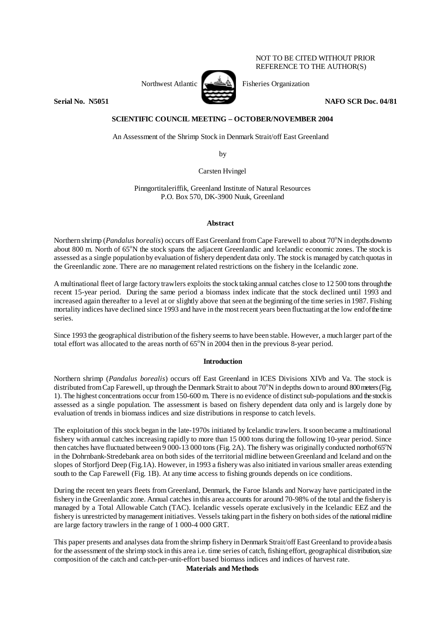#### NOT TO BE CITED WITHOUT PRIOR REFERENCE TO THE AUTHOR(S)



Northwest Atlantic  $\left[\begin{array}{cc} \begin{array}{ccc} \end{array} & \begin{array}{ccc} \end{array} & \begin{array}{ccc} \end{array} & \begin{array}{ccc} \end{array} & \begin{array}{ccc} \end{array} & \begin{array}{ccc} \end{array} & \begin{array}{ccc} \end{array} & \begin{array}{ccc} \end{array} & \begin{array}{ccc} \end{array} & \begin{array}{ccc} \end{array} & \begin{array}{ccc} \end{array} & \begin{array}{ccc} \end{array} & \begin{array}{ccc} \end{array} & \begin{array}{ccc} \end{array} & \begin{array}{ccc} \end{$ 

**Serial No. 35051** NAFO SCR Doc. 04/81 **NAFO SCR Doc.** 04/81

# **SCIENTIFIC COUNCIL MEETING – OCTOBER/NOVEMBER 2004**

An Assessment of the Shrimp Stock in Denmark Strait/off East Greenland

by

Carsten Hvingel

Pinngortitaleriffik, Greenland Institute of Natural Resources P.O. Box 570, DK-3900 Nuuk, Greenland

### **Abstract**

Northern shrimp (*Pandalus borealis*) occurs off East Greenland from Cape Farewell to about 70<sup>°</sup>N in depths downto about 800 m. North of 65°N the stock spans the adjacent Greenlandic and Icelandic economic zones. The stock is assessed as a single population by evaluation of fishery dependent data only. The stock is managed by catch quotas in the Greenlandic zone. There are no management related restrictions on the fishery in the Icelandic zone.

A multinational fleet of large factory trawlers exploits the stock taking annual catches close to 12 500 tons through the recent 15-year period. During the same period a biomass index indicate that the stock declined until 1993 and increased again thereafter to a level at or slightly above that seen at the beginning of the time series in 1987. Fishing mortality indices have declined since 1993 and have in the most recent years been fluctuating at the low end of the time series.

Since 1993 the geographical distribution of the fishery seems to have been stable. However, a much larger part of the total effort was allocated to the areas north of  $65^{\circ}$ N in 2004 then in the previous 8-year period.

# **Introduction**

Northern shrimp (*Pandalus borealis*) occurs off East Greenland in ICES Divisions XIVb and Va. The stock is distributed from Cap Farewell, up through the Denmark Strait to about 70 $\degree$ N in depths down to around 800 meters (Fig. 1). The highest concentrations occur from 150-600 m. There is no evidence of distinct sub-populations and the stock is assessed as a single population. The assessment is based on fishery dependent data only and is largely done by evaluation of trends in biomass indices and size distributions in response to catch levels.

The exploitation of this stock began in the late-1970s initiated by Icelandic trawlers. It soon became a multinational fishery with annual catches increasing rapidly to more than 15 000 tons during the following 10-year period. Since then catches have fluctuated between  $9000-13000$  tons (Fig. 2A). The fishery was originally conducted north of 65°N in the Dohrnbank-Stredebank area on both sides of the territorial midline between Greenland and Iceland and on the slopes of Storfjord Deep (Fig.1A). However, in 1993 a fishery was also initiated in various smaller areas extending south to the Cap Farewell (Fig. 1B). At any time access to fishing grounds depends on ice conditions.

During the recent ten years fleets from Greenland, Denmark, the Faroe Islands and Norway have participated in the fishery in the Greenlandic zone. Annual catches in this area accounts for around 70-98% of the total and the fishery is managed by a Total Allowable Catch (TAC). Icelandic vessels operate exclusively in the Icelandic EEZ and the fishery is unrestricted by management initiatives. Vessels taking part in the fishery on both sides of the national midline are large factory trawlers in the range of 1 000-4 000 GRT.

This paper presents and analyses data from the shrimp fishery in Denmark Strait/off East Greenland to provide a basis for the assessment of the shrimp stock in this area i.e. time series of catch, fishing effort, geographical distribution, size composition of the catch and catch-per-unit-effort based biomass indices and indices of harvest rate.

## **Materials and Methods**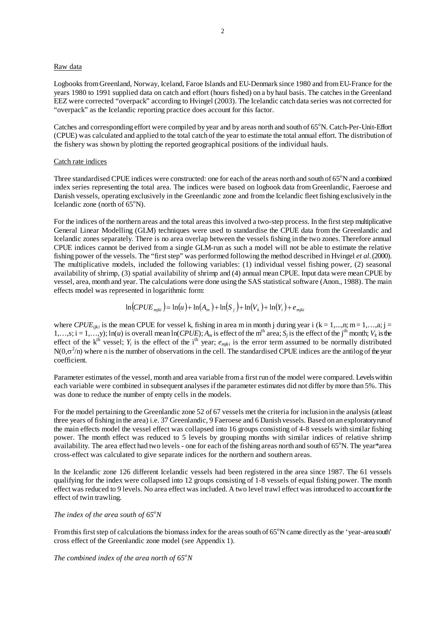#### Raw data

Logbooks from Greenland, Norway, Iceland, Faroe Islands and EU-Denmark since 1980 and from EU-France for the years 1980 to 1991 supplied data on catch and effort (hours fished) on a by haul basis. The catches in the Greenland EEZ were corrected "overpack" according to Hvingel (2003). The Icelandic catch data series was not corrected for "overpack" as the Icelandic reporting practice does account for this factor.

Catches and corresponding effort were compiled by year and by areas north and south of 65°N. Catch-Per-Unit-Effort (CPUE) was calculated and applied to the total catch of the year to estimate the total annual effort. The distribution of the fishery was shown by plotting the reported geographical positions of the individual hauls.

#### Catch rate indices

Three standardised CPUE indices were constructed: one for each of the areas north and south of 65°N and a combined index series representing the total area. The indices were based on logbook data from Greenlandic, Faeroese and Danish vessels, operating exclusively in the Greenlandic zone and from the Icelandic fleet fishing exclusively in the Icelandic zone (north of  $65^{\circ}$ N).

For the indices of the northern areas and the total areas this involved a two-step process. In the first step multiplicative General Linear Modelling (GLM) techniques were used to standardise the CPUE data from the Greenlandic and Icelandic zones separately. There is no area overlap between the vessels fishing in the two zones. Therefore annual CPUE indices cannot be derived from a single GLM-run as such a model will not be able to estimate the relative fishing power of the vessels. The "first step" was performed following the method described in Hvingel *et al.* (2000). The multiplicative models, included the following variables: (1) individual vessel fishing power, (2) seasonal availability of shrimp, (3) spatial availability of shrimp and (4) annual mean CPUE. Input data were mean CPUE by vessel, area, month and year. The calculations were done using the SAS statistical software (Anon., 1988). The main effects model was represented in logarithmic form:

$$
\ln(CPUE_{mjki}) = \ln(u) + \ln(A_m) + \ln(S_j) + \ln(V_k) + \ln(Y_i) + e_{mjki}
$$

where *CPUE<sub>ijki</sub>* is the mean CPUE for vessel k, fishing in area m in month j during year i (k = 1,...,n; m = 1,...,a; j =  $1,...,s; i = 1,...,y; \ln(u)$  is overall mean  $\ln(CPUE); A_m$  is effect of the m<sup>th</sup> area;  $S_i$  is the effect of the j<sup>th</sup> month;  $V_k$  is the effect of the  $k<sup>th</sup>$  vessel;  $Y_i$  is the effect of the i<sup>th</sup> year;  $e_{mjki}$  is the error term assumed to be normally distributed  $N(0,\sigma^2/n)$  where n is the number of observations in the cell. The standardised CPUE indices are the antilog of the year coefficient.

Parameter estimates of the vessel, month and area variable from a first run of the model were compared. Levels within each variable were combined in subsequent analyses if the parameter estimates did not differ by more than 5%. This was done to reduce the number of empty cells in the models.

For the model pertaining to the Greenlandic zone 52 of 67 vessels met the criteria for inclusion in the analysis (at least three years of fishing in the area) i.e. 37 Greenlandic, 9 Faeroese and 6 Danish vessels. Based on an exploratory run of the main effects model the vessel effect was collapsed into 16 groups consisting of 4-8 vessels with similar fishing power. The month effect was reduced to 5 levels by grouping months with similar indices of relative shrimp availability. The area effect had two levels - one for each of the fishing areas north and south of 65°N. The year\*area cross-effect was calculated to give separate indices for the northern and southern areas.

In the Icelandic zone 126 different Icelandic vessels had been registered in the area since 1987. The 61 vessels qualifying for the index were collapsed into 12 groups consisting of 1-8 vessels of equal fishing power. The month effect was reduced to 9 levels. No area effect was included. A two level trawl effect was introduced to account for the effect of twin trawling.

# *The index of the area south of 65<sup>o</sup>N*

From this first step of calculations the biomass index for the areas south of  $65^\circ$ N came directly as the 'year-area south' cross effect of the Greenlandic zone model (see Appendix 1).

# *The combined index of the area north of 65<sup>o</sup>N*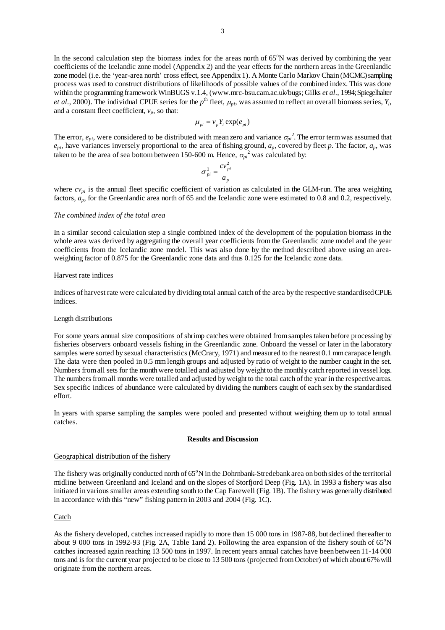In the second calculation step the biomass index for the areas north of 65°N was derived by combining the year coefficients of the Icelandic zone model (Appendix 2) and the year effects for the northern areas in the Greenlandic zone model (i.e. the 'year-area north' cross effect, see Appendix 1). A Monte Carlo Markov Chain (MCMC) sampling process was used to construct distributions of likelihoods of possible values of the combined index. This was done within the programming framework WinBUGS v.1.4, (www.mrc-bsu.cam.ac.uk/bugs; Gilks *et al.*, 1994; Spiegelhalter *et al.*, 2000). The individual CPUE series for the  $p^{\text{th}}$  fleet,  $\mu_{pi}$ , was assumed to reflect an overall biomass series,  $Y_i$ , and a constant fleet coefficient,  $v_p$ , so that:

$$
\mu_{pi} = v_p Y_i \exp(e_{pi})
$$

The error,  $e_{pi}$ , were considered to be distributed with mean zero and variance  $\sigma_{pi}^2$ . The error term was assumed that  $e_{pi}$ , have variances inversely proportional to the area of fishing ground,  $a_p$ , covered by fleet  $p$ . The factor,  $a_p$ , was taken to be the area of sea bottom between 150-600 m. Hence,  $\sigma_{pi}^2$  was calculated by:

$$
\sigma_{pi}^2 = \frac{cv_{pi}^2}{a_p}
$$

where  $cv_{pi}$  is the annual fleet specific coefficient of variation as calculated in the GLM-run. The area weighting factors,  $a_p$ , for the Greenlandic area north of 65 and the Icelandic zone were estimated to 0.8 and 0.2, respectively.

#### *The combined index of the total area*

In a similar second calculation step a single combined index of the development of the population biomass in the whole area was derived by aggregating the overall year coefficients from the Greenlandic zone model and the year coefficients from the Icelandic zone model. This was also done by the method described above using an areaweighting factor of 0.875 for the Greenlandic zone data and thus 0.125 for the Icelandic zone data.

### Harvest rate indices

Indices of harvest rate were calculated by dividing total annual catch of the area by the respective standardised CPUE indices.

#### Length distributions

For some years annual size compositions of shrimp catches were obtained from samples taken before processing by fisheries observers onboard vessels fishing in the Greenlandic zone. Onboard the vessel or later in the laboratory samples were sorted by sexual characteristics (McCrary, 1971) and measured to the nearest 0.1 mm carapace length. The data were then pooled in 0.5 mm length groups and adjusted by ratio of weight to the number caught in the set. Numbers from all sets for the month were totalled and adjusted by weight to the monthly catch reported in vessel logs. The numbers from all months were totalled and adjusted by weight to the total catch of the year in the respective areas. Sex specific indices of abundance were calculated by dividing the numbers caught of each sex by the standardised effort.

In years with sparse sampling the samples were pooled and presented without weighing them up to total annual catches.

### **Results and Discussion**

### Geographical distribution of the fishery

The fishery was originally conducted north of 65°N in the Dohrnbank-Stredebank area on both sides of the territorial midline between Greenland and Iceland and on the slopes of Storfjord Deep (Fig. 1A). In 1993 a fishery was also initiated in various smaller areas extending south to the Cap Farewell (Fig. 1B). The fishery was generally distributed in accordance with this "new" fishing pattern in 2003 and 2004 (Fig. 1C).

#### **Catch**

As the fishery developed, catches increased rapidly to more than 15 000 tons in 1987-88, but declined thereafter to about 9 000 tons in 1992-93 (Fig. 2A, Table 1 and 2). Following the area expansion of the fishery south of  $65^{\circ}$ N catches increased again reaching 13 500 tons in 1997. In recent years annual catches have been between 11-14 000 tons and is for the current year projected to be close to 13 500 tons (projected from October) of which about 67% will originate from the northern areas.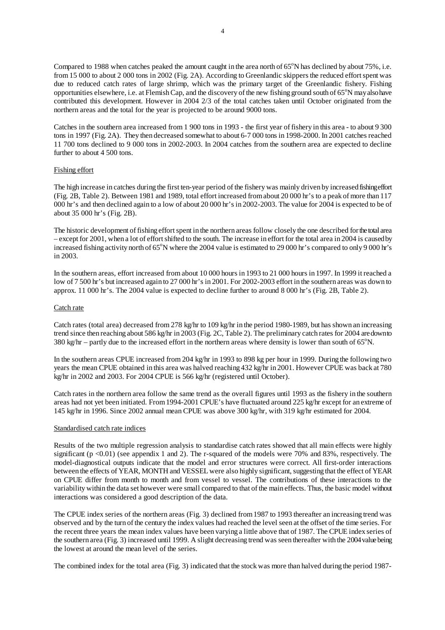Compared to 1988 when catches peaked the amount caught in the area north of  $65^{\circ}$ N has declined by about  $75\%$ , i.e. from 15 000 to about 2 000 tons in 2002 (Fig. 2A). According to Greenlandic skippers the reduced effort spent was due to reduced catch rates of large shrimp, which was the primary target of the Greenlandic fishery. Fishing opportunities elsewhere, i.e. at Flemish Cap, and the discovery of the new fishing ground south of  $65^{\circ}$ N may also have contributed this development. However in 2004 2/3 of the total catches taken until October originated from the northern areas and the total for the year is projected to be around 9000 tons.

Catches in the southern area increased from 1 900 tons in 1993 - the first year of fishery in this area - to about 9 300 tons in 1997 (Fig. 2A). They then decreased somewhat to about 6-7 000 tons in 1998-2000. In 2001 catches reached 11 700 tons declined to 9 000 tons in 2002-2003. In 2004 catches from the southern area are expected to decline further to about 4 500 tons.

## Fishing effort

The high increase in catches during the first ten-year period of the fishery was mainly driven by increased fishing effort (Fig. 2B, Table 2). Between 1981 and 1989, total effort increased from about 20 000 hr's to a peak of more than 117 000 hr's and then declined again to a low of about 20 000 hr's in 2002-2003. The value for 2004 is expected to be of about 35 000 hr's (Fig. 2B).

The historic development of fishing effort spent in the northern areas follow closely the one described for the total area – except for 2001, when a lot of effort shifted to the south. The increase in effort for the total area in 2004 is caused by increased fishing activity north of 65°N where the 2004 value is estimated to 29 000 hr's compared to only 9 000 hr's in 2003.

In the southern areas, effort increased from about 10 000 hours in 1993 to 21 000 hours in 1997. In 1999 it reached a low of 7 500 hr's but increased again to 27 000 hr's in 2001. For 2002-2003 effort in the southern areas was down to approx. 11 000 hr's. The 2004 value is expected to decline further to around 8 000 hr's (Fig. 2B, Table 2).

### Catch rate

Catch rates (total area) decreased from 278 kg/hr to 109 kg/hr in the period 1980-1989, but has shown an increasing trend since then reaching about 586 kg/hr in 2003 (Fig. 2C, Table 2). The preliminary catch rates for 2004 are down to 380 kg/hr – partly due to the increased effort in the northern areas where density is lower than south of  $65^{\circ}$ N.

In the southern areas CPUE increased from 204 kg/hr in 1993 to 898 kg per hour in 1999. During the following two years the mean CPUE obtained in this area was halved reaching 432 kg/hr in 2001. However CPUE was back at 780 kg/hr in 2002 and 2003. For 2004 CPUE is 566 kg/hr (registered until October).

Catch rates in the northern area follow the same trend as the overall figures until 1993 as the fishery in the southern areas had not yet been initiated. From 1994-2001 CPUE's have fluctuated around 225 kg/hr except for an extreme of 145 kg/hr in 1996. Since 2002 annual mean CPUE was above 300 kg/hr, with 319 kg/hr estimated for 2004.

### Standardised catch rate indices

Results of the two multiple regression analysis to standardise catch rates showed that all main effects were highly significant (p <0.01) (see appendix 1 and 2). The r-squared of the models were 70% and 83%, respectively. The model-diagnostical outputs indicate that the model and error structures were correct. All first-order interactions between the effects of YEAR, MONTH and VESSEL were also highly significant, suggesting that the effect of YEAR on CPUE differ from month to month and from vessel to vessel. The contributions of these interactions to the variability within the data set however were small compared to that of the main effects. Thus, the basic model without interactions was considered a good description of the data.

The CPUE index series of the northern areas (Fig. 3) declined from 1987 to 1993 thereafter an increasing trend was observed and by the turn of the century the index values had reached the level seen at the offset of the time series. For the recent three years the mean index values have been varying a little above that of 1987. The CPUE index series of the southern area (Fig. 3) increased until 1999. A slight decreasing trend was seen thereafter with the 2004 value being the lowest at around the mean level of the series.

The combined index for the total area (Fig. 3) indicated that the stock was more than halved during the period 1987-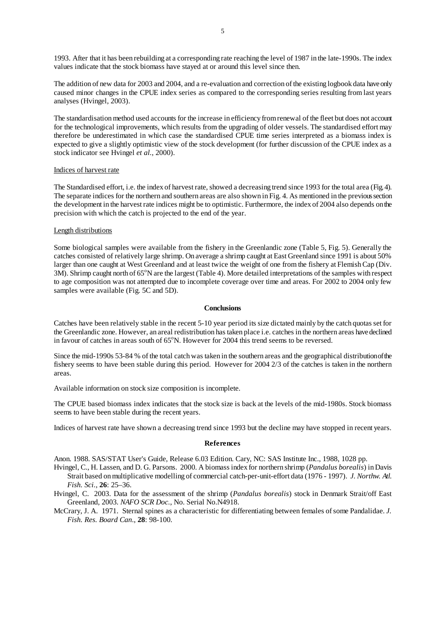1993. After that it has been rebuilding at a corresponding rate reaching the level of 1987 in the late-1990s. The index values indicate that the stock biomass have stayed at or around this level since then.

The addition of new data for 2003 and 2004, and a re-evaluation and correction of the existing logbook data have only caused minor changes in the CPUE index series as compared to the corresponding series resulting from last years analyses (Hvingel, 2003).

The standardisation method used accounts for the increase in efficiency from renewal of the fleet but does not account for the technological improvements, which results from the upgrading of older vessels. The standardised effort may therefore be underestimated in which case the standardised CPUE time series interpreted as a biomass index is expected to give a slightly optimistic view of the stock development (for further discussion of the CPUE index as a stock indicator see Hvingel *et al.*, 2000).

#### Indices of harvest rate

The Standardised effort, i.e. the index of harvest rate, showed a decreasing trend since 1993 for the total area (Fig. 4). The separate indices for the northern and southern areas are also shown in Fig. 4. As mentioned in the previous section the development in the harvest rate indices might be to optimistic. Furthermore, the index of 2004 also depends on the precision with which the catch is projected to the end of the year.

### Length distributions

Some biological samples were available from the fishery in the Greenlandic zone (Table 5, Fig. 5). Generally the catches consisted of relatively large shrimp. On average a shrimp caught at East Greenland since 1991 is about 50% larger than one caught at West Greenland and at least twice the weight of one from the fishery at Flemish Cap (Div. 3M). Shrimp caught north of 65°N are the largest (Table 4). More detailed interpretations of the samples with respect to age composition was not attempted due to incomplete coverage over time and areas. For 2002 to 2004 only few samples were available (Fig. 5C and 5D).

#### **Conclusions**

Catches have been relatively stable in the recent 5-10 year period its size dictated mainly by the catch quotas set for the Greenlandic zone. However, an areal redistribution has taken place i.e. catches in the northern areas have declined in favour of catches in areas south of 65°N. However for 2004 this trend seems to be reversed.

Since the mid-1990s 53-84 % of the total catch was taken in the southern areas and the geographical distribution of the fishery seems to have been stable during this period. However for 2004 2/3 of the catches is taken in the northern areas.

Available information on stock size composition is incomplete.

The CPUE based biomass index indicates that the stock size is back at the levels of the mid-1980s. Stock biomass seems to have been stable during the recent years.

Indices of harvest rate have shown a decreasing trend since 1993 but the decline may have stopped in recent years.

#### **References**

Anon. 1988. SAS/STAT User's Guide, Release 6.03 Edition. Cary, NC: SAS Institute Inc., 1988, 1028 pp.

- Hvingel, C., H. Lassen, and D. G. Parsons. 2000. A biomass index for northern shrimp (*Pandalus borealis*) in Davis Strait based on multiplicative modelling of commercial catch-per-unit-effort data (1976 - 1997). *J. Northw. Atl. Fish. Sci.*, **26**: 25–36.
- Hvingel, C. 2003. Data for the assessment of the shrimp (*Pandalus borealis*) stock in Denmark Strait/off East Greenland, 2003. *NAFO SCR Doc.*, No. Serial No.N4918.
- McCrary, J. A. 1971. Sternal spines as a characteristic for differentiating between females of some Pandalidae. *J. Fish. Res. Board Can*., **28**: 98-100.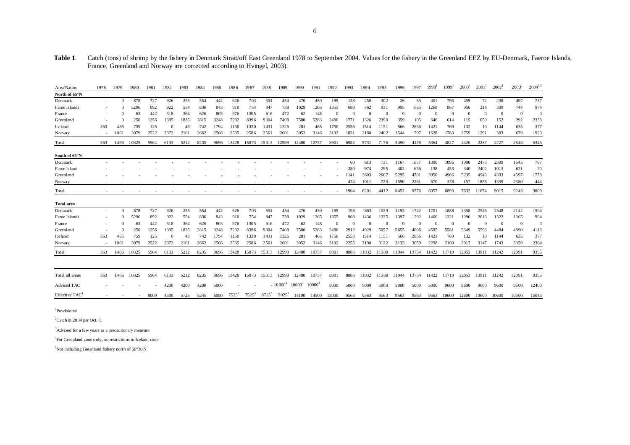## Table 1. Catch (tons) of shrimp by the fishery in Denmark Strait/off East Greenland 1978 to September 2004. Values for the fishery in the Greenland EEZ by EU-Denmark, Faeroe Islands, France, Greenland and Norway are corrected according to Hvingel, 2003).

| Area/Nation       | 1978                     | 1979                     | 1980  | 1981 | 1982     | 1983 | 1984 | 1985 | 1986     | 1987     | 1988              | 1989       | 1990      | 1991      | 1992     | 1993     | 1994  | 1995     | 1996     | 1997     | 1998     | 1999     | 2000 <sup>'</sup> | 2001     | $2002^1$     | $2003^1$       | $2004^{1,2}$   |
|-------------------|--------------------------|--------------------------|-------|------|----------|------|------|------|----------|----------|-------------------|------------|-----------|-----------|----------|----------|-------|----------|----------|----------|----------|----------|-------------------|----------|--------------|----------------|----------------|
| North of 65°N     |                          |                          |       |      |          |      |      |      |          |          |                   |            |           |           |          |          |       |          |          |          |          |          |                   |          |              |                |                |
| Denmark           | $\sim$                   | $\Omega$                 | 878   | 727  | 926      | 255  | 554  | 442  | 626      | 703      | 554               | 454        | 476       | 450       | 199      | 138      | 250   | 302      | 26       | 85       | 401      | 793      | 459               | 72       | 238          | 497            | 737            |
| Faroe Islands     |                          | $^{\circ}$               | 5296  | 892  | 922      | 554  | 836  | 843  | 910      | 754      | 847               | 738        | 1029      | 1265      | 1355     | 689      | 462   | 931      | 995      | 635      | 1268     | 867      | 956               | 214      | 309          | 744            | 974            |
| France            |                          |                          | 63    | 442  | 518      | 364  | 626  | 803  | 976      | 1305     | 616               | 472        | 62        | 148       | $\Omega$ |          |       | $\Omega$ | $\Omega$ | $\Omega$ | $\Omega$ | $\Omega$ | $\Omega$          | $\Omega$ | $\mathbf{0}$ | $\mathbf{0}$   | $\overline{0}$ |
| Greenland         |                          |                          | 250   | 1256 | 1395     | 1835 | 2815 | 3248 | 7232     | 8396     | 9304              | 7408       | 7580      | 5283      | 2496     | 1771     | 1326  | 2390     | 359      | 105      | 646      | 614      | 115               | 650      | 152          | 292            | 2338           |
| Iceland           | 363                      | 485                      | 759   | 125  | $\Omega$ | 43   | 742  | 1794 | 1150     | 1330     | 1431              | 1326       | 281       | 465       | 1750     | 2553     | 1514  | 1151     | 566      | 2856     | 1421     | 769      | 132               | 10       | 1144         | 635            | 377            |
| Norway            | $\sim$                   | 1001                     | 3079  | 2522 | 2372     | 2161 | 2662 | 2566 | 2535     | 2586     | 2561              | 2601       | 3052      | 3146      | 3102     | 1831     | 2180  | 2402     | 1544     | 797      | 1628     | 1783     | 2759              | 1291     | 383          | 679            | 1920           |
| Total             | 363                      | 1486                     | 10325 | 5964 | 6133     | 5212 | 8235 | 9696 | 13428    | 15073    | 15313             | 12999      | 12480     | 10757     | 8901     | 6982     | 5731  | 7176     | 3490     | 4478     | 5364     | 4827     | 4420              | 2237     | 2227         | 2848           | 6346           |
| South of 65°N     |                          |                          |       |      |          |      |      |      |          |          |                   |            |           |           |          |          |       |          |          |          |          |          |                   |          |              |                |                |
| Denmark           |                          |                          |       |      |          |      |      |      |          |          |                   |            |           |           |          | 60       | 613   | 731      | 1167     | 1657     | 1300     | 1095     | 1900              | 2473     | 2309         | 1645           | 767            |
| Faroe Island      |                          |                          |       |      |          |      |      |      |          |          |                   |            |           |           |          | 280      | 974   | 295      | 402      | 656      | 138      | 453      | 340               | 2402     | 1013         | 621            | 20             |
| Greenland         |                          |                          |       |      |          |      |      |      |          |          |                   |            |           |           |          | 1141     | 3603  | 2667     | 5295     | 4701     | 3950     | 4966     | 5235              | 4943     | 4333         | 4597           | 1778           |
| Norway            |                          |                          |       |      |          |      |      |      |          |          |                   |            |           |           |          | 424      | 1011  | 720      | 1590     | 2261     | 670      | 378      | 157               | 1855     | 1359         | 2380           | 444            |
| Total             |                          |                          |       |      |          |      |      |      |          |          |                   |            |           |           | $\sim$   | 1904     | 6201  | 4412     | 8453     | 9276     | 6057     | 6893     | 7632              | 11674    | 9015         | 9243           | 3009           |
| <b>Total area</b> |                          |                          |       |      |          |      |      |      |          |          |                   |            |           |           |          |          |       |          |          |          |          |          |                   |          |              |                |                |
| Denmark           | $\overline{\phantom{a}}$ | $\Omega$                 | 878   | 727  | 926      | 255  | 554  | 442  | 626      | 703      | 554               | 454        | 476       | 450       | 199      | 198      | 863   | 1033     | 1193     | 1742     | 1701     | 1888     | 2358              | 2545     | 2548         | 2142           | 1504           |
| Faroe Islands     |                          |                          | 5296  | 892  | 922      | 554  | 836  | 843  | 910      | 754      | 847               | 738        | 1029      | 1265      | 1355     | 968      | 1436  | 1225     | 1397     | 1292     | 1406     | 1321     | 1296              | 2616     | 1322         | 1365           | 994            |
| France            |                          | $\Omega$                 | 63    | 442  | 518      | 364  | 626  | 803  | 976      | 1305     | 616               | 472        | 62        | 148       | $\Omega$ | $\Omega$ |       | $\Omega$ | $\Omega$ | $\Omega$ | $\Omega$ | $\Omega$ | $\Omega$          | $\Omega$ | $\Omega$     | $\overline{0}$ | $\overline{0}$ |
| Greenland         |                          |                          | 250   | 1256 | 1395     | 1835 | 2815 | 3248 | 7232     | 8396     | 9304              | 7408       | 7580      | 5283      | 2496     | 2912     | 4929  | 505      | 5655     | 4806     | 4595     | 5581     | 5349              | 5593     | 4484         | 4890           | 4116           |
| Iceland           | 363                      | 485                      | 759   | 125  | $\Omega$ | 43   | 742  | 1794 | 1150     | 1330     | 1431              | 1326       | 281       | 465       | 1750     | 2553     | 1514  | 1151     | 566      | 2856     | 1421     | 769      | 132               | 10       | 1144         | 635            | 377            |
| Norway            | $\sim$                   | 1001                     | 3079  | 2522 | 2372     | 2161 | 2662 | 2566 | 2535     | 2586     | 2561              | 2601       | 3052      | 3146      | 3102     | 2255     | 3190  | 3122     | 3133     | 3059     | 2298     | 2160     | 2917              | 3147     | 1743         | 3059           | 2364           |
| Total             | 363                      | 1486                     | 10325 | 5964 | 6133     | 5212 | 8235 | 9696 | 13428    | 15073    | 15313             | 12999      | 12480     | 10757     | 8901     | 8886     | 11932 | 11588    | 11944    | 13754    | 11422    | 11719    | 12053             | 13911    | 11242        | 12091          | 9355           |
|                   |                          |                          |       |      |          |      |      |      |          |          |                   |            |           |           |          |          |       |          |          |          |          |          |                   |          |              |                |                |
| Total all areas   | 363                      | 1486                     | 10325 | 5964 | 6133     | 5212 | 8235 | 9696 | 13428    | 15073    | 15313             | 12999      | 12480     | 10757     | 8901     | 8886     | 11932 | 11588    | 11944    | 13754    | 11422    | 11719    | 12053             | 13911    | 11242        | 12091          | 9355           |
| Advised TAC       |                          |                          |       |      | 4200     | 4200 | 4200 | 5000 |          |          |                   | $-10000^3$ | $10000^3$ | $10000^3$ | 8000     | 5000     | 5000  | 5000     | 5000     | 5000     | 5000     | 9600     | 9600              | 9600     | 9600         | 9600           | 12400          |
| Effective $TAC^4$ |                          | $\overline{\phantom{a}}$ | ٠     | 8000 | 4500     | 5725 | 5245 | 6090 | $7525^5$ | $7525^5$ | 8725 <sup>5</sup> | $9025^5$   | 14100     | 14500     | 13000    | 9563     | 9563  | 9563     | 9563     | 9563     | 9563     | 10600    | 12600             | 10600    | 10600        | 10600          | 15043          |
|                   |                          |                          |       |      |          |      |      |      |          |          |                   |            |           |           |          |          |       |          |          |          |          |          |                   |          |              |                |                |

<sup>1</sup>Provisional

 $2$ Catch in 2004 per Oct. 1.

<sup>3</sup>Advised for a few years as a precautionary measure

4For Greenland zone only; no restrictions in Iceland zone

 $5$ Not including Greenland fishery north of 66°30'N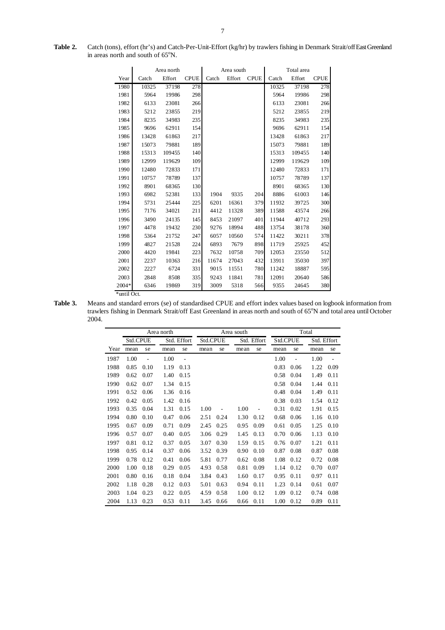| Table 2. | Catch (tons), effort (hr's) and Catch-Per-Unit-Effort (kg/hr) by trawlers fishing in Denmark Strait/off East Greenland |
|----------|------------------------------------------------------------------------------------------------------------------------|
|          | in areas north and south of $65^{\circ}$ N.                                                                            |

|             |       | Area north |             |       | Area south |             | Total area |        |             |  |  |
|-------------|-------|------------|-------------|-------|------------|-------------|------------|--------|-------------|--|--|
| Year        | Catch | Effort     | <b>CPUE</b> | Catch | Effort     | <b>CPUE</b> | Catch      | Effort | <b>CPUE</b> |  |  |
| 1980        | 10325 | 37198      | 278         |       |            |             | 10325      | 37198  | 278         |  |  |
| 1981        | 5964  | 19986      | 298         |       |            |             | 5964       | 19986  | 298         |  |  |
| 1982        | 6133  | 23081      | 266         |       |            |             | 6133       | 23081  | 266         |  |  |
| 1983        | 5212  | 23855      | 219         |       |            |             | 5212       | 23855  | 219         |  |  |
| 1984        | 8235  | 34983      | 235         |       |            |             | 8235       | 34983  | 235         |  |  |
| 1985        | 9696  | 62911      | 154         |       |            |             | 9696       | 62911  | 154         |  |  |
| 1986        | 13428 | 61863      | 217         |       |            |             | 13428      | 61863  | 217         |  |  |
| 1987        | 15073 | 79881      | 189         |       |            |             | 15073      | 79881  | 189         |  |  |
| 1988        | 15313 | 109455     | 140         |       |            |             | 15313      | 109455 | 140         |  |  |
| 1989        | 12999 | 119629     | 109         |       |            |             | 12999      | 119629 | 109         |  |  |
| 1990        | 12480 | 72833      | 171         |       |            |             | 12480      | 72833  | 171         |  |  |
| 1991        | 10757 | 78789      | 137         |       |            |             | 10757      | 78789  | 137         |  |  |
| 1992        | 8901  | 68365      | 130         |       |            |             | 8901       | 68365  | 130         |  |  |
| 1993        | 6982  | 52381      | 133         | 1904  | 9335       | 204         | 8886       | 61003  | 146         |  |  |
| 1994        | 5731  | 25444      | 225         | 6201  | 16361      | 379         | 11932      | 39725  | 300         |  |  |
| 1995        | 7176  | 34021      | 211         | 4412  | 11328      | 389         | 11588      | 43574  | 266         |  |  |
| 1996        | 3490  | 24135      | 145         | 8453  | 21097      | 401         | 11944      | 40712  | 293         |  |  |
| 1997        | 4478  | 19432      | 230         | 9276  | 18994      | 488         | 13754      | 38178  | 360         |  |  |
| 1998        | 5364  | 21752      | 247         | 6057  | 10560      | 574         | 11422      | 30211  | 378         |  |  |
| 1999        | 4827  | 21528      | 224         | 6893  | 7679       | 898         | 11719      | 25925  | 452         |  |  |
| 2000        | 4420  | 19841      | 223         | 7632  | 10758      | 709         | 12053      | 23550  | 512         |  |  |
| 2001        | 2237  | 10363      | 216         | 11674 | 27043      | 432         | 13911      | 35030  | 397         |  |  |
| 2002        | 2227  | 6724       | 331         | 9015  | 11551      | 780         | 11242      | 18887  | 595         |  |  |
| 2003        | 2848  | 8508       | 335         | 9243  | 11841      | 781         | 12091      | 20640  | 586         |  |  |
| 2004*       | 6346  | 19869      | 319         | 3009  | 5318       | 566         | 9355       | 24645  | 380         |  |  |
| *until Oct. |       |            |             |       |            |             |            |        |             |  |  |

**Table 3.** Means and standard errors (se) of standardised CPUE and effort index values based on logbook information from trawlers fishing in Denmark Strait/off East Greenland in areas north and south of 65°N and total area until October 2004.

|      | Area north      |      |      |                          |          |      | Area south |             | Total    |      |             |      |  |
|------|-----------------|------|------|--------------------------|----------|------|------------|-------------|----------|------|-------------|------|--|
|      | <b>Std.CPUE</b> |      |      | Std. Effort              | Std.CPUE |      |            | Std. Effort | Std.CPUE |      | Std. Effort |      |  |
| Year | mean            | se   | mean | se                       | mean     | se   | mean       | se          | mean     | se   | mean        | se   |  |
| 1987 | 1.00            |      | 1.00 | $\overline{\phantom{a}}$ |          |      |            |             | 1.00     | L,   | 1.00        | ÷,   |  |
| 1988 | 0.85            | 0.10 | 1.19 | 0.13                     |          |      |            |             | 0.83     | 0.06 | 1.22        | 0.09 |  |
| 1989 | 0.62            | 0.07 | 1.40 | 0.15                     |          |      |            |             | 0.58     | 0.04 | 1.49        | 0.11 |  |
| 1990 | 0.62            | 0.07 | 1.34 | 0.15                     |          |      |            |             | 0.58     | 0.04 | 1.44        | 0.11 |  |
| 1991 | 0.52            | 0.06 | 1.36 | 0.16                     |          |      |            |             | 0.48     | 0.04 | 1.49        | 0.11 |  |
| 1992 | 0.42            | 0.05 | 1.42 | 0.16                     |          |      |            |             | 0.38     | 0.03 | 1.54        | 0.12 |  |
| 1993 | 0.35            | 0.04 | 1.31 | 0.15                     | 1.00     |      | 1.00       |             | 0.31     | 0.02 | 1.91        | 0.15 |  |
| 1994 | 0.80            | 0.10 | 0.47 | 0.06                     | 2.51     | 0.24 | 1.30       | 0.12        | 0.68     | 0.06 | 1.16        | 0.10 |  |
| 1995 | 0.67            | 0.09 | 0.71 | 0.09                     | 2.45     | 0.25 | 0.95       | 0.09        | 0.61     | 0.05 | 1.25        | 0.10 |  |
| 1996 | 0.57            | 0.07 | 0.40 | 0.05                     | 3.06     | 0.29 | 1.45       | 0.13        | 0.70     | 0.06 | 1.13        | 0.10 |  |
| 1997 | 0.81            | 0.12 | 0.37 | 0.05                     | 3.07     | 0.30 | 1.59       | 0.15        | 0.76     | 0.07 | 1.21        | 0.11 |  |
| 1998 | 0.95            | 0.14 | 0.37 | 0.06                     | 3.52     | 0.39 | 0.90       | 0.10        | 0.87     | 0.08 | 0.87        | 0.08 |  |
| 1999 | 0.78            | 0.12 | 0.41 | 0.06                     | 5.81     | 0.77 | 0.62       | 0.08        | 1.08     | 0.12 | 0.72        | 0.08 |  |
| 2000 | 1.00            | 0.18 | 0.29 | 0.05                     | 4.93     | 0.58 | 0.81       | 0.09        | 1.14     | 0.12 | 0.70        | 0.07 |  |
| 2001 | 0.80            | 0.16 | 0.18 | 0.04                     | 3.84     | 0.43 | 1.60       | 0.17        | 0.95     | 0.11 | 0.97        | 0.11 |  |
| 2002 | 1.18            | 0.28 | 0.12 | 0.03                     | 5.01     | 0.63 | 0.94       | 0.11        | 1.23     | 0.14 | 0.61        | 0.07 |  |
| 2003 | 1.04            | 0.23 | 0.22 | 0.05                     | 4.59     | 0.58 | 1.00       | 0.12        | 1.09     | 0.12 | 0.74        | 0.08 |  |
| 2004 | 1.13            | 0.23 | 0.53 | 0.11                     | 3.45     | 0.66 | 0.66       | 0.11        | 1.00     | 0.12 | 0.89        | 0.11 |  |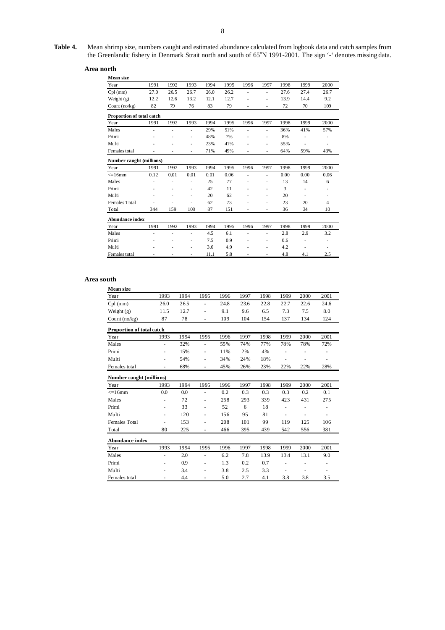## **Area north**

| Mean size                 |      |      |                          |      |      |                          |                          |      |      |                |
|---------------------------|------|------|--------------------------|------|------|--------------------------|--------------------------|------|------|----------------|
| Year                      | 1991 | 1992 | 1993                     | 1994 | 1995 | 1996                     | 1997                     | 1998 | 1999 | 2000           |
| $Cpl$ (mm)                | 27.0 | 26.5 | 26.7                     | 26.0 | 26.2 | ä,                       | ٠                        | 27.6 | 27.4 | 26.7           |
| Weight (g)                | 12.2 | 12.6 | 13.2                     | 12.1 | 12.7 | ÷,                       | ٠                        | 13.9 | 14.4 | 9.2            |
| Count $(no/kg)$           | 82   | 79   | 76                       | 83   | 79   | $\overline{\phantom{m}}$ | $\overline{\phantom{m}}$ | 72   | 70   | 109            |
| Proportion of total catch |      |      |                          |      |      |                          |                          |      |      |                |
| Year                      | 1991 | 1992 | 1993                     | 1994 | 1995 | 1996                     | 1997                     | 1998 | 1999 | 2000           |
| Males                     | ÷,   | ä,   | ٠                        | 29%  | 51%  | ÷,                       | ٠                        | 36%  | 41%  | 57%            |
| Primi                     |      |      | ٠                        | 48%  | 7%   | ä,                       | ٠                        | 8%   |      |                |
| Multi                     |      |      | $\overline{\phantom{m}}$ | 23%  | 41%  |                          | ٠                        | 55%  |      | ٠              |
| Females total             |      |      | ٠                        | 71%  | 49%  |                          | ٠                        | 64%  | 59%  | 43%            |
| Number caught (millions)  |      |      |                          |      |      |                          |                          |      |      |                |
| Year                      | 1991 | 1992 | 1993                     | 1994 | 1995 | 1996                     | 1997                     | 1998 | 1999 | 2000           |
| $\leq 16$ mm              | 0.12 | 0.01 | 0.01                     | 0.01 | 0.06 | ÷,                       | ٠                        | 0.00 | 0.00 | 0.06           |
| Males                     |      |      | ٠                        | 25   | 77   | ÷,                       | ÷,                       | 13   | 14   | 6              |
| Primi                     |      | ٠    | $\overline{\phantom{m}}$ | 42   | 11   | ٠                        | $\overline{\phantom{m}}$ | 3    | ٠    |                |
| Multi                     |      |      | ٠                        | 20   | 62   |                          | ٠                        | 20   |      |                |
| <b>Females Total</b>      |      |      | $\overline{\phantom{m}}$ | 62   | 73   | ٠                        | $\overline{\phantom{m}}$ | 23   | 20   | $\overline{4}$ |
| Total                     | 344  | 159  | 108                      | 87   | 151  | ÷,                       | ٠                        | 36   | 34   | 10             |
| <b>Abundance index</b>    |      |      |                          |      |      |                          |                          |      |      |                |
| Year                      | 1991 | 1992 | 1993                     | 1994 | 1995 | 1996                     | 1997                     | 1998 | 1999 | 2000           |
| Males                     | ÷,   | ä,   | ٠                        | 4.5  | 6.1  | ÷,                       | ٠                        | 2.8  | 2.9  | 3.2            |
| Primi                     |      |      | ٠                        | 7.5  | 0.9  | ä,                       | ٠                        | 0.6  | ٠    |                |
| Multi                     |      |      | ٠                        | 3.6  | 4.9  | ٠                        | ÷,                       | 4.2  | ٠    |                |
| Females total             |      |      | ٠                        | 11.1 | 5.8  |                          | ä,                       | 4.8  | 4.1  | 2.5            |

#### **Area south**

| <b>Mean size</b>          |                          |      |                          |      |      |      |      |      |      |
|---------------------------|--------------------------|------|--------------------------|------|------|------|------|------|------|
| Year                      | 1993                     | 1994 | 1995                     | 1996 | 1997 | 1998 | 1999 | 2000 | 2001 |
| $Cpl$ (mm)                | 26.0                     | 26.5 | ÷,                       | 24.8 | 23.6 | 22.8 | 22.7 | 22.6 | 24.6 |
| Weight $(g)$              | 11.5                     | 12.7 | $\overline{\phantom{m}}$ | 9.1  | 9.6  | 6.5  | 7.3  | 7.5  | 8.0  |
| Count $(no/kg)$           | 87                       | 78   | $\overline{\phantom{m}}$ | 109  | 104  | 154  | 137  | 134  | 124  |
| Proportion of total catch |                          |      |                          |      |      |      |      |      |      |
| Year                      | 1993                     | 1994 | 1995                     | 1996 | 1997 | 1998 | 1999 | 2000 | 2001 |
| Males                     | ٠                        | 32%  | $\blacksquare$           | 55%  | 74%  | 77%  | 78%  | 78%  | 72%  |
| Primi                     |                          | 15%  | $\overline{\phantom{m}}$ | 11%  | 2%   | 4%   |      |      |      |
| Multi                     | ٠                        | 54%  | $\overline{\phantom{a}}$ | 34%  | 24%  | 18%  | ۰    |      | ٠    |
| Females total             | $\overline{\phantom{a}}$ | 68%  | ÷,                       | 45%  | 26%  | 23%  | 22%  | 22%  | 28%  |
| Number caught (millions)  |                          |      |                          |      |      |      |      |      |      |
| Year                      | 1993                     | 1994 | 1995                     | 1996 | 1997 | 1998 | 1999 | 2000 | 2001 |
| $\leq$ 16mm               | 0.0                      | 0.0  | $\blacksquare$           | 0.2  | 0.3  | 0.3  | 0.3  | 0.2  | 0.1  |
| Males                     |                          | 72   |                          | 258  | 293  | 339  | 423  | 431  | 275  |
| Primi                     |                          | 33   | $\overline{\phantom{a}}$ | 52   | 6    | 18   | ۰    |      | ۰    |
| Multi                     |                          | 120  | $\overline{\phantom{a}}$ | 156  | 95   | 81   | ۰    |      |      |
| <b>Females Total</b>      | ۰                        | 153  | $\overline{\phantom{a}}$ | 208  | 101  | 99   | 119  | 125  | 106  |
| Total                     | 80                       | 225  | ÷,                       | 466  | 395  | 439  | 542  | 556  | 381  |
| <b>Abundance index</b>    |                          |      |                          |      |      |      |      |      |      |
| Year                      | 1993                     | 1994 | 1995                     | 1996 | 1997 | 1998 | 1999 | 2000 | 2001 |
| Males                     | ٠                        | 2.0  | $\overline{\phantom{a}}$ | 6.2  | 7.8  | 13.9 | 13.4 | 13.1 | 9.0  |
| Primi                     |                          | 0.9  |                          | 1.3  | 0.2  | 0.7  |      |      |      |
| Multi                     |                          | 3.4  |                          | 3.8  | 2.5  | 3.3  | ä,   |      |      |
| Females total             |                          | 4.4  | ۰                        | 5.0  | 2.7  | 4.1  | 3.8  | 3.8  | 3.5  |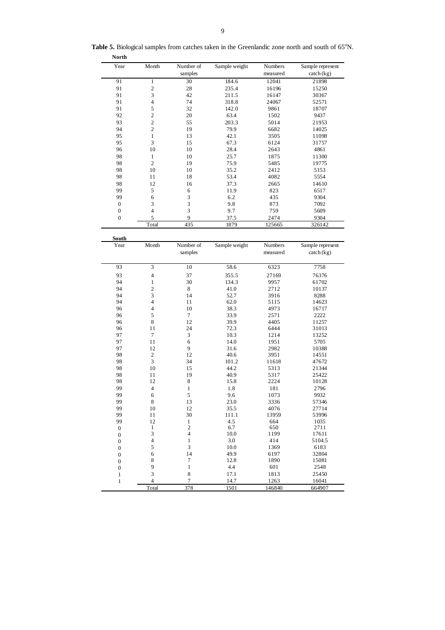| Year           | Month          | Number of | Sample weight | Numbers  | Sample represent          |
|----------------|----------------|-----------|---------------|----------|---------------------------|
|                |                | samples   |               | measured | $\text{catch}(\text{kg})$ |
| 91             | 1              | 30        | 184.6         | 12041    | 21898                     |
| 91             | $\mathbf{2}$   | 28        | 235.4         | 16196    | 15250                     |
| 91             | 3              | 42        | 211.5         | 16147    | 30367                     |
| 91             | 4              | 74        | 318.8         | 24067    | 52571                     |
| 91             | 5              | 32        | 142.0         | 9861     | 18707                     |
| 92             | $\mathbf{2}$   | 20        | 63.4          | 1502     | 9437                      |
| 93             | $\overline{2}$ | 55        | 203.3         | 5014     | 21953                     |
| 94             | $\overline{2}$ | 19        | 79.9          | 6682     | 14025                     |
| 95             |                | 13        | 42.1          | 3505     | 11098                     |
| 95             | 3              | 15        | 67.3          | 6124     | 31757                     |
| 96             | 10             | 10        | 28.4          | 2643     | 4861                      |
| 98             | 1              | 10        | 25.7          | 1875     | 11300                     |
| 98             | $\overline{2}$ | 19        | 75.9          | 5485     | 19775                     |
| 98             | 10             | 10        | 35.2          | 2412     | 5153                      |
| 98             | 11             | 18        | 53.4          | 4082     | 5554                      |
| 98             | 12             | 16        | 37.3          | 2665     | 14610                     |
| 99             | 5              | 6         | 11.9          | 823      | 6517                      |
| 99             | 6              | 3         | 6.2           | 435      | 9304                      |
| $\overline{0}$ | 3              | 3         | 9.8           | 873      | 7092                      |
| $\overline{0}$ | 4              | 3         | 9.7           | 759      | 5609                      |
| $\overline{0}$ | 5              | 9         | 37.5          | 2474     | 9304                      |
|                | Total          | 435       | 1879          | 125665   | 326142                    |

Table 5. Biological samples from catches taken in the Greenlandic zone north and south of 65°N. **North**

| South<br>Year    | Month                   | Number of<br>samples | Sample weight | Numbers<br>measured | Sample represent<br>$\text{catch}(\text{kg})$ |
|------------------|-------------------------|----------------------|---------------|---------------------|-----------------------------------------------|
| 93               | 3                       | 10                   | 58.6          | 6323                | 7758                                          |
| 93               | $\overline{4}$          | 37                   | 355.5         | 27169               | 76376                                         |
| 94               | $\mathbf{1}$            | 30                   | 134.3         | 9957                | 61702                                         |
| 94               | $\overline{c}$          | 8                    | 41.0          | 2712                | 10137                                         |
| 94               | 3                       | 14                   | 52.7          | 3916                | 8288                                          |
| 94               | 4                       | 11                   | 62.0          | 5115                | 14623                                         |
| 96               | 4                       | 10                   | 38.3          | 4973                | 16717                                         |
| 96               | 5                       | $\overline{7}$       | 33.9          | 2571                | 2222                                          |
| 96               | 8                       | 12                   | 39.9          | 4405                | 11257                                         |
| 96               | 11                      | 24                   | 72.3          | 6444                | 31013                                         |
| 97               | $\overline{7}$          | 3                    | 10.3          | 1214                | 13252                                         |
| 97               | 11                      | 6                    | 14.0          | 1951                | 5705                                          |
| 97               | 12                      | 9                    | 31.6          | 2982                | 10388                                         |
| 98               | $\boldsymbol{2}$        | 12                   | 40.6          | 3951                | 14551                                         |
| 98               | $\overline{3}$          | 34                   | 101.2         | 11618               | 47672                                         |
| 98               | 10                      | 15                   | 44.2          | 5313                | 21344                                         |
| 98               | 11                      | 19                   | 40.9          | 5317                | 25422                                         |
| 98               | 12                      | 8                    | 15.8          | 2224                | 10128                                         |
| 99               | $\overline{4}$          | $\mathbf{1}$         | 1.8           | 181                 | 2796                                          |
| 99               | 6                       | 5                    | 9.6           | 1073                | 9932                                          |
| 99               | 8                       | 13                   | 23.0          | 3336                | 57346                                         |
| 99               | 10                      | 12                   | 35.5          | 4076                | 27714                                         |
| 99               | 11                      | 30                   | 111.1         | 13959               | 53996                                         |
| 99               | 12                      | $\mathbf{1}$         | 4.5           | 664                 | 1035                                          |
| $\mathbf{0}$     | 1                       | $\overline{c}$       | 6.7           | 650                 | 2711                                          |
| $\boldsymbol{0}$ | 3                       | $\overline{4}$       | 10.0          | 1199                | 17611                                         |
| $\mathbf{0}$     | 4                       | $\mathbf{1}$         | 3.0           | 414                 | 5104.5                                        |
| $\mathbf{0}$     | 5                       | 3                    | 10.0          | 1369                | 6183                                          |
| $\mathbf{0}$     | 6                       | 14                   | 49.9          | 6197                | 32804                                         |
| $\mathbf{0}$     | 8                       | $\tau$               | 12.8          | 1890                | 15081                                         |
| $\boldsymbol{0}$ | 9                       | $\mathbf{1}$         | 4.4           | 601                 | 2548                                          |
| $\mathbf{1}$     | 3                       | 8                    | 17.1          | 1813                | 25450                                         |
| $\mathbf{1}$     | $\overline{\mathbf{4}}$ | $\overline{7}$       | 14.7          | 1263                | 16041                                         |
|                  | Total                   | 378                  | 1501          | 146840              | 664907                                        |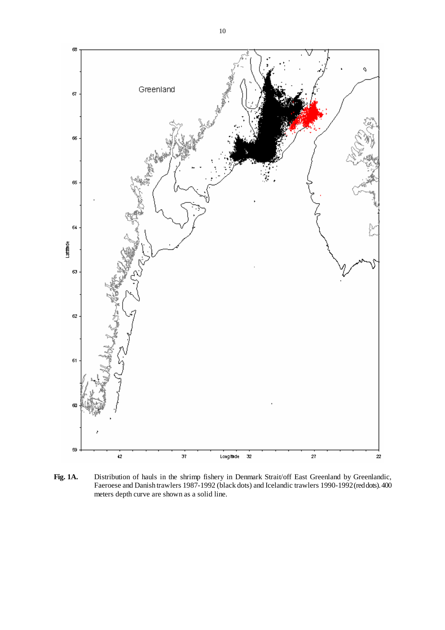

Fig. 1A. Distribution of hauls in the shrimp fishery in Denmark Strait/off East Greenland by Greenlandic, Faeroese and Danish trawlers 1987-1992 (black dots) and Icelandic trawlers 1990-1992 (red dots). 400 meters depth curve are shown as a solid line.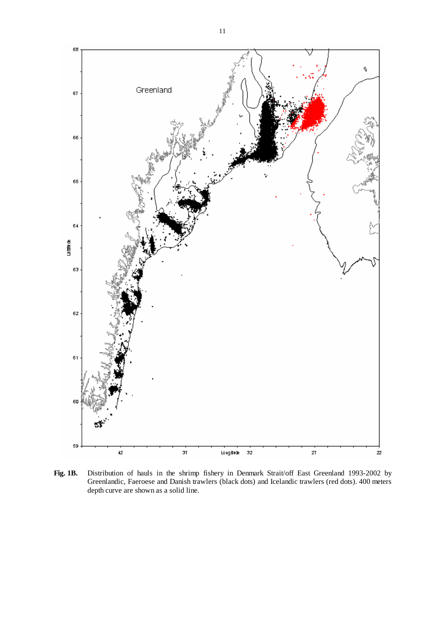

**Fig. 1B.** Distribution of hauls in the shrimp fishery in Denmark Strait/off East Greenland 1993-2002 by Greenlandic, Faeroese and Danish trawlers (black dots) and Icelandic trawlers (red dots). 400 meters depth curve are shown as a solid line.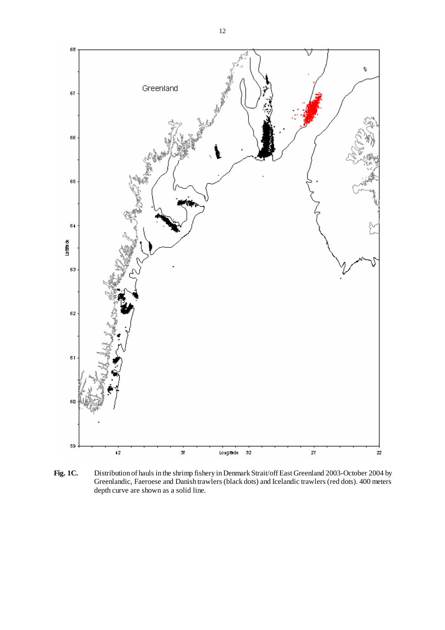

**Fig. 1C.** Distribution of hauls in the shrimp fishery in Denmark Strait/off East Greenland 2003-October 2004 by Greenlandic, Faeroese and Danish trawlers (black dots) and Icelandic trawlers (red dots). 400 meters depth curve are shown as a solid line.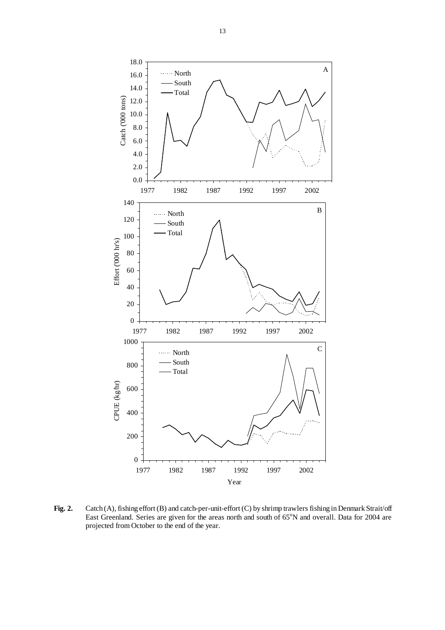

**Fig. 2.** Catch (A), fishing effort (B) and catch-per-unit-effort (C) by shrimp trawlers fishing in Denmark Strait/off East Greenland. Series are given for the areas north and south of 65°N and overall. Data for 2004 are projected from October to the end of the year.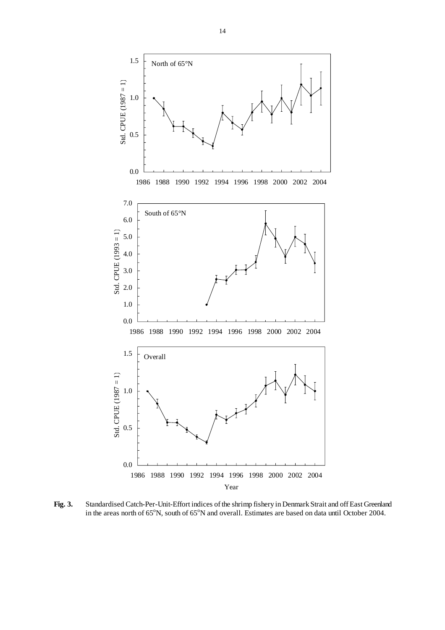

**Fig. 3.** Standardised Catch-Per-Unit-Effort indices of the shrimp fishery in Denmark Strait and off East Greenland in the areas north of 65°N, south of 65°N and overall. Estimates are based on data until October 2004.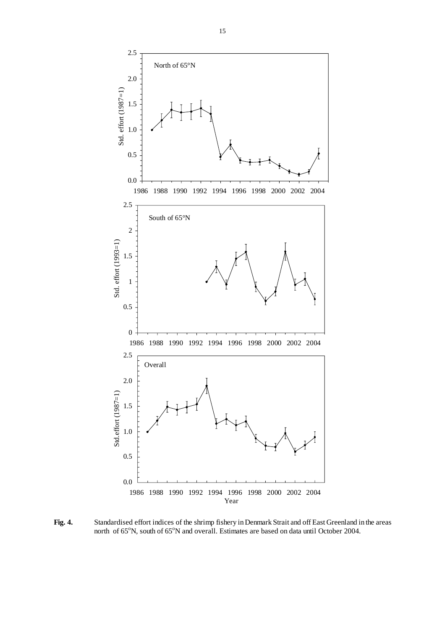

**Fig. 4.** Standardised effort indices of the shrimp fishery in Denmark Strait and off East Greenland in the areas north of 65°N, south of 65°N and overall. Estimates are based on data until October 2004.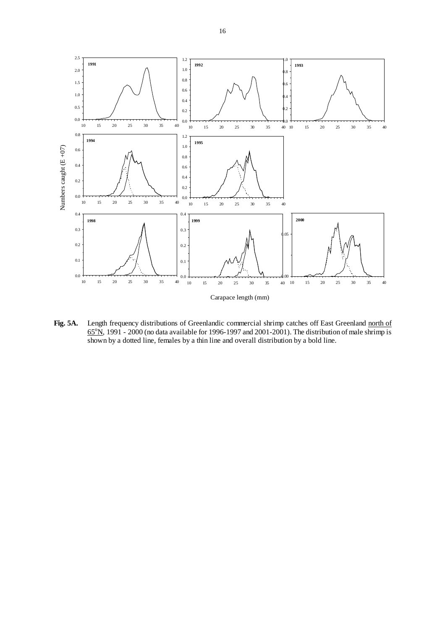

**Fig. 5A.** Length frequency distributions of Greenlandic commercial shrimp catches off East Greenland north of  $65^{\circ}$ N, 1991 - 2000 (no data available for 1996-1997 and 2001-2001). The distribution of male shrimp is shown by a dotted line, females by a thin line and overall distribution by a bold line.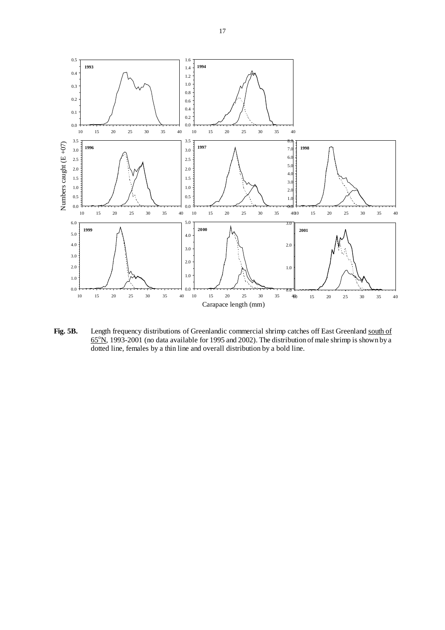

Fig. 5B. Length frequency distributions of Greenlandic commercial shrimp catches off East Greenland south of  $65^{\circ}$ N, 1993-2001 (no data available for 1995 and 2002). The distribution of male shrimp is shown by a dotted line, females by a thin line and overall distribution by a bold line.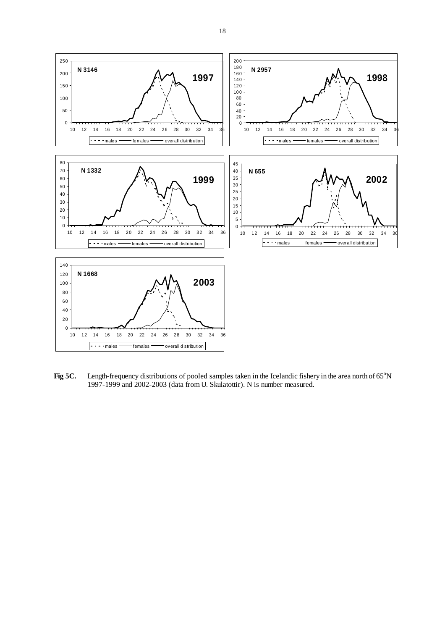

Fig 5C. Length-frequency distributions of pooled samples taken in the Icelandic fishery in the area north of 65<sup>o</sup>N 1997-1999 and 2002-2003 (data from U. Skulatottir). N is number measured.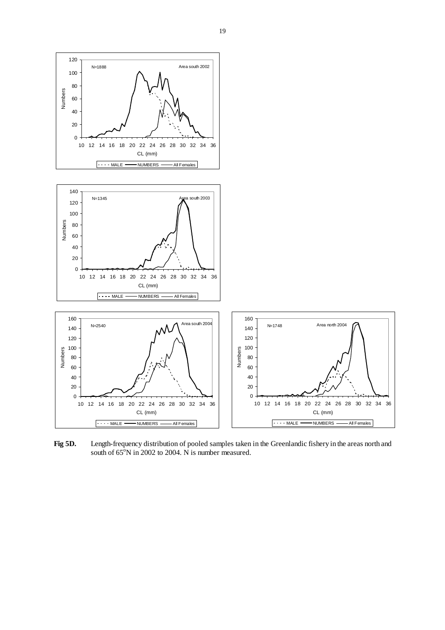

**Fig 5D.** Length-frequency distribution of pooled samples taken in the Greenlandic fishery in the areas north and south of  $65^{\circ}$ N in 2002 to 2004. N is number measured.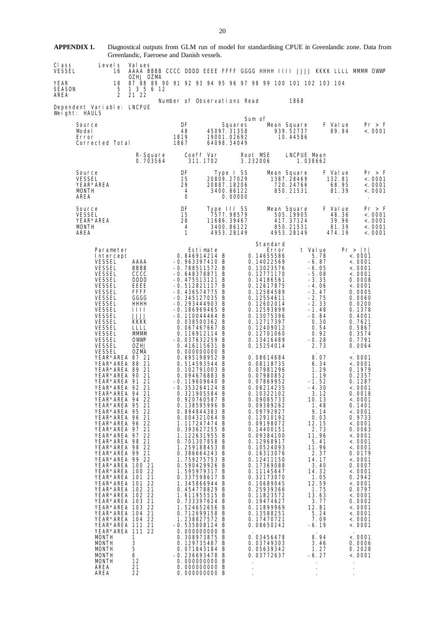|                        |                                                                                                                                                                                                                                                                                                                                                                                                                                                                                                                                                                                                                                                                                                                                                                                                                                                                                                                                                                                         | Greenlandic, Faeroese and Danish vessels.                                                                                                                                               |                                                                                                                                                                                                                                                                                                                                                                                                                                                                                                                                                                                                                                                                                                                                                                                                                                                                                                                                                                                                             |                                           |                                                                      |                                                                                                                                                                                                                                                                                                                                                                                                                                                                                                                                                                                                                                                                                                                                 |                                                                  |                                                                                                                                                                                                                                                                                                                                                                                                                                            |                                                                                                                                                                                                                                                                                                                                                                                                                                                                                                                                                                                               |
|------------------------|-----------------------------------------------------------------------------------------------------------------------------------------------------------------------------------------------------------------------------------------------------------------------------------------------------------------------------------------------------------------------------------------------------------------------------------------------------------------------------------------------------------------------------------------------------------------------------------------------------------------------------------------------------------------------------------------------------------------------------------------------------------------------------------------------------------------------------------------------------------------------------------------------------------------------------------------------------------------------------------------|-----------------------------------------------------------------------------------------------------------------------------------------------------------------------------------------|-------------------------------------------------------------------------------------------------------------------------------------------------------------------------------------------------------------------------------------------------------------------------------------------------------------------------------------------------------------------------------------------------------------------------------------------------------------------------------------------------------------------------------------------------------------------------------------------------------------------------------------------------------------------------------------------------------------------------------------------------------------------------------------------------------------------------------------------------------------------------------------------------------------------------------------------------------------------------------------------------------------|-------------------------------------------|----------------------------------------------------------------------|---------------------------------------------------------------------------------------------------------------------------------------------------------------------------------------------------------------------------------------------------------------------------------------------------------------------------------------------------------------------------------------------------------------------------------------------------------------------------------------------------------------------------------------------------------------------------------------------------------------------------------------------------------------------------------------------------------------------------------|------------------------------------------------------------------|--------------------------------------------------------------------------------------------------------------------------------------------------------------------------------------------------------------------------------------------------------------------------------------------------------------------------------------------------------------------------------------------------------------------------------------------|-----------------------------------------------------------------------------------------------------------------------------------------------------------------------------------------------------------------------------------------------------------------------------------------------------------------------------------------------------------------------------------------------------------------------------------------------------------------------------------------------------------------------------------------------------------------------------------------------|
| CI ass<br>VESSEL       | Level s<br>16                                                                                                                                                                                                                                                                                                                                                                                                                                                                                                                                                                                                                                                                                                                                                                                                                                                                                                                                                                           | Val ues<br>OZHJ OZMA                                                                                                                                                                    |                                                                                                                                                                                                                                                                                                                                                                                                                                                                                                                                                                                                                                                                                                                                                                                                                                                                                                                                                                                                             |                                           |                                                                      |                                                                                                                                                                                                                                                                                                                                                                                                                                                                                                                                                                                                                                                                                                                                 |                                                                  |                                                                                                                                                                                                                                                                                                                                                                                                                                            | AAAA BBBB CCCC DDDD EEEE FFFF GGGG HHHH IIII JJJJ KKKK LLLL MMMM OWWP                                                                                                                                                                                                                                                                                                                                                                                                                                                                                                                         |
| YEAR<br>SEASON<br>AREA | 18<br>5<br>$\overline{2}$                                                                                                                                                                                                                                                                                                                                                                                                                                                                                                                                                                                                                                                                                                                                                                                                                                                                                                                                                               | 87 88 89 90 91 92 93 94 95 96 97 98 99 100 101 102 103 104<br>1 3 5 6 12<br>21 22                                                                                                       |                                                                                                                                                                                                                                                                                                                                                                                                                                                                                                                                                                                                                                                                                                                                                                                                                                                                                                                                                                                                             |                                           |                                                                      |                                                                                                                                                                                                                                                                                                                                                                                                                                                                                                                                                                                                                                                                                                                                 |                                                                  |                                                                                                                                                                                                                                                                                                                                                                                                                                            |                                                                                                                                                                                                                                                                                                                                                                                                                                                                                                                                                                                               |
|                        | Dependent Variable: LNCPUE<br>Weight: HAULS                                                                                                                                                                                                                                                                                                                                                                                                                                                                                                                                                                                                                                                                                                                                                                                                                                                                                                                                             |                                                                                                                                                                                         | Number of Observations Read                                                                                                                                                                                                                                                                                                                                                                                                                                                                                                                                                                                                                                                                                                                                                                                                                                                                                                                                                                                 |                                           |                                                                      |                                                                                                                                                                                                                                                                                                                                                                                                                                                                                                                                                                                                                                                                                                                                 | 1868                                                             |                                                                                                                                                                                                                                                                                                                                                                                                                                            |                                                                                                                                                                                                                                                                                                                                                                                                                                                                                                                                                                                               |
|                        | Source<br>Model<br>Error<br>Corrected Total                                                                                                                                                                                                                                                                                                                                                                                                                                                                                                                                                                                                                                                                                                                                                                                                                                                                                                                                             |                                                                                                                                                                                         | DF<br>48<br>1819<br>1867                                                                                                                                                                                                                                                                                                                                                                                                                                                                                                                                                                                                                                                                                                                                                                                                                                                                                                                                                                                    | 45097.31358<br>19001.02692<br>64098.34049 | Squares                                                              | Sum of                                                                                                                                                                                                                                                                                                                                                                                                                                                                                                                                                                                                                                                                                                                          | Mean Square<br>939.52737<br>10.44586                             | F Value<br>89.94                                                                                                                                                                                                                                                                                                                                                                                                                           | Pr > F<br>< .0001                                                                                                                                                                                                                                                                                                                                                                                                                                                                                                                                                                             |
|                        |                                                                                                                                                                                                                                                                                                                                                                                                                                                                                                                                                                                                                                                                                                                                                                                                                                                                                                                                                                                         | R-Square<br>0.703564                                                                                                                                                                    | Coeff Var<br>311.1702                                                                                                                                                                                                                                                                                                                                                                                                                                                                                                                                                                                                                                                                                                                                                                                                                                                                                                                                                                                       |                                           |                                                                      | Root MSE<br>3.232006                                                                                                                                                                                                                                                                                                                                                                                                                                                                                                                                                                                                                                                                                                            | LNCPUE Mean<br>1.038662                                          |                                                                                                                                                                                                                                                                                                                                                                                                                                            |                                                                                                                                                                                                                                                                                                                                                                                                                                                                                                                                                                                               |
|                        | Source<br><b>VESSEL</b><br>YEAR*AREA<br>MONTH<br>AREA                                                                                                                                                                                                                                                                                                                                                                                                                                                                                                                                                                                                                                                                                                                                                                                                                                                                                                                                   |                                                                                                                                                                                         | DF<br>15<br>29<br>4<br>0                                                                                                                                                                                                                                                                                                                                                                                                                                                                                                                                                                                                                                                                                                                                                                                                                                                                                                                                                                                    |                                           | Type I SS<br>20809.27029<br>20887.18206<br>3400.86122<br>0.00000     |                                                                                                                                                                                                                                                                                                                                                                                                                                                                                                                                                                                                                                                                                                                                 | Mean Square<br>1387.28469<br>720.24766<br>850.21531<br>$\cdot$   | F Value<br>132.81<br>68.95<br>81.39<br>$\cdot$                                                                                                                                                                                                                                                                                                                                                                                             | Pr > F<br>< .0001<br>< .0001<br>$\epsilon$ . 0001                                                                                                                                                                                                                                                                                                                                                                                                                                                                                                                                             |
|                        | Source<br><b>VESSEL</b><br>YEAR*AREA<br>MONTH<br>AREA                                                                                                                                                                                                                                                                                                                                                                                                                                                                                                                                                                                                                                                                                                                                                                                                                                                                                                                                   |                                                                                                                                                                                         | DF<br>15<br>28<br>4<br>$\mathbf{1}$                                                                                                                                                                                                                                                                                                                                                                                                                                                                                                                                                                                                                                                                                                                                                                                                                                                                                                                                                                         |                                           | Type III SS<br>7577.98579<br>11686.39467<br>3400.86122<br>4953.28149 |                                                                                                                                                                                                                                                                                                                                                                                                                                                                                                                                                                                                                                                                                                                                 | Mean Square<br>505.19905<br>417.37124<br>850.21531<br>4953.28149 | F Value<br>48.36<br>39.96<br>81.39<br>474.19                                                                                                                                                                                                                                                                                                                                                                                               | Pr > F<br>< .0001<br>< .0001<br>< .0001<br>< .0001                                                                                                                                                                                                                                                                                                                                                                                                                                                                                                                                            |
|                        | Parameter<br>Intercept<br><b>VESSEL</b><br>VESSEL<br><b>VESSEL</b><br><b>VESSEL</b><br><b>VESSEL</b><br><b>VESSEL</b><br><b>VESSEL</b><br><b>VESSEL</b><br><b>VESSEL</b><br>VESSEL<br><b>VESSEL</b><br><b>VESSEL</b><br><b>VESSEL</b><br><b>VESSEL</b><br><b>VESSEL</b><br><b>VESSEL</b><br>YEAR*AREA 87 21<br>YEAR*AREA 88 21<br>YEAR*AREA 89 21<br>YEAR*AREA 90 21<br>YEAR*AREA 91 21<br>YEAR*AREA 92 21<br>YEAR*AREA 94 21<br>YEAR*AREA 94 22<br>YEAR*AREA 95 21<br>YEAR*AREA 95 22<br>YEAR*AREA 96 21<br>YEAR*AREA 96 22<br>YEAR*AREA 97 21<br>YEAR*AREA 97 22<br>YEAR*AREA 98 21<br>YEAR*AREA 98 22<br>YEAR*AREA 99 21<br>YEAR*AREA 99 22<br>YEAR*AREA 100 21<br>YEAR*AREA 100 22<br>YEAR*AREA 101 21<br>YEAR*AREA 101 22<br>YEAR*AREA 102 21<br>YEAR*AREA 102 22<br>YEAR*AREA 103 21<br>YEAR*AREA 103 22<br>YEAR*AREA 104 21<br>YEAR*AREA 104 22<br>YEAR*AREA 111 21<br>YEAR*AREA 111 22<br>MONTH<br><b>MONTH</b><br><b>MONTH</b><br><b>MONTH</b><br><b>MONTH</b><br>AREA<br>AREA | AAAA<br>BBBB<br>cccc<br><b>DDDD</b><br>EEEE<br><b>FFFF</b><br>GGGG<br>HHHH<br>1111<br>JJJJ<br>KKKK<br><b>LLLL</b><br>MMMM<br>OWWP<br>0ZHJ<br>OZMA<br>1<br>3<br>5<br>6<br>12<br>21<br>22 | Estimate<br>0.846914214 B<br>$-0.963397410 B$<br>$-0.788511572 B$<br>$-0.648378871 B$<br>$-0.475513121$ B<br>$-0.512821117$ B<br>$-0.436574775 B$<br>$-0.345127035$ B<br>$-0.293444903$ B<br>$-0.186969465 B$<br>$-0.110044464$ B<br>0.038500362 B<br>0.067467667 B<br>$0.116912114$ B<br>$-0.037632259$ B<br>0.416115631 B<br>0.000000000 B<br>0.695198952 B<br>0.514593544 B<br>0.102791003 B<br>0.094676883 B<br>$-0.119609640 B$<br>$-0.353264124 B$<br>0.321905584 B<br>0.920760587 B<br>0.138595996 B<br>0.894844383 B<br>0.004321064 B<br>1.117247474 B<br>0.393627255 B<br>1.122631955 B<br>0.701307858 B<br>1.259188453 B<br>0.386664243 B<br>1.759275753 B<br>0.590429926 B<br>1.595979317 B<br>0.337598617 B<br>1.345866944 B<br>0.454778829 B<br>1.611955515 B<br>0.733397624 B<br>1.524652656 B<br>0.712699158 B<br>1.238827572 B<br>$-0.535808124$ B<br>0.000000000 B<br>0.308973875 B<br>0.129735487 B<br>0.071843184 B<br>-0.236693478 B<br>0.000000000 B<br>0.000000000 B<br>0.000000000 B |                                           |                                                                      | Standard<br>Error<br>0.14655586<br>0.14022569<br>0.13023576<br>0.12771170<br>0.14186561<br>0.12617875<br>0.12584589<br>0.12554611<br>0.12602014<br>0.12593899<br>0.13075396<br>0.12717397<br>0.12409012<br>0.12701060<br>0.13416489<br>0.15254014<br>0.08614684<br>0.08118735<br>0.07981296<br>0.07980852<br>0.07869952<br>0.08214235<br>0.10322102<br>0.09085733<br>0.09389262<br>0.09792927<br>0.12910192<br>0.09198072<br>0.14400151<br>0.09384100<br>0.12968917<br>0.10524093<br>0.16313076<br>0.12411150<br>0.17369088<br>0.11145647<br>0.32173070<br>0.10689045<br>0.25939366<br>0.11823572<br>0.19474627<br>0.11899969<br>0.13588251<br>0.17470721<br>0.08650242<br>0.03456478<br>0.03749303<br>0.05639342<br>0.03772637 | t Value<br>12.81                                                 | 5.78<br>$-6.87$<br>$-6.05$<br>$-5.08$<br>$-3.35$<br>-4.06<br>$-3.47$<br>$-2.75$<br>$-2.33$<br>$-1.48$<br>-0.84<br>0.30<br>0.54<br>0.92<br>$-0.28$<br>2.73<br>8.07<br>6.34<br>1.29<br>1.19<br>-1.52<br>$-4.30$<br>3.12<br>10.13<br>1.48<br>9.14<br>0.03<br>12.15<br>2.73<br>11.96<br>5.41<br>11.96<br>2.37<br>14.17<br>3.40<br>14.32<br>1.05<br>12.59<br>1.75<br>13.63<br>3.77<br>5.24<br>7.09<br>$-6.19$<br>8.94<br>3.46<br>1.27<br>-6. 27 | Pr >  t <br>< .0001<br>< .0001<br>< .0001<br>$\langle . \ 0001 \rangle$<br>0.0008<br>< .0001<br>0.0005<br>0.0060<br>0.0200<br>0.1378<br>0.4001<br>0.7621<br>0.5867<br>0.3574<br>0.7791<br>0.0064<br>< .0001<br>$\langle . \ 0001 \rangle$<br>0.1979<br>0.2357<br>0.1287<br>< .0001<br>0.0018<br>$\langle . \ 0001 \rangle$<br>0.1401<br>< .0001<br>0.9733<br>< .0001<br>0.0063<br>< .0001<br>< .0001<br>< 0001<br>0.0179<br>< .0001<br>0.0007<br>< .0001<br>0.2942<br>< .0001<br>0.0797<br>< .0001<br>0.0002<br>< 0001<br>< 0001<br>< 0001<br>< 0001<br>< .0001<br>0.0006<br>0.2028<br>< 0001 |

20

**APPENDIX 1.** Diagnostical outputs from GLM run of model for standardising CPUE in Greenlandic zone. Data from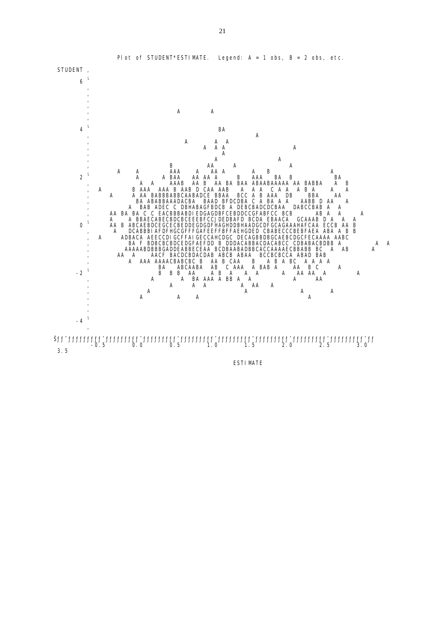

ESTIMATE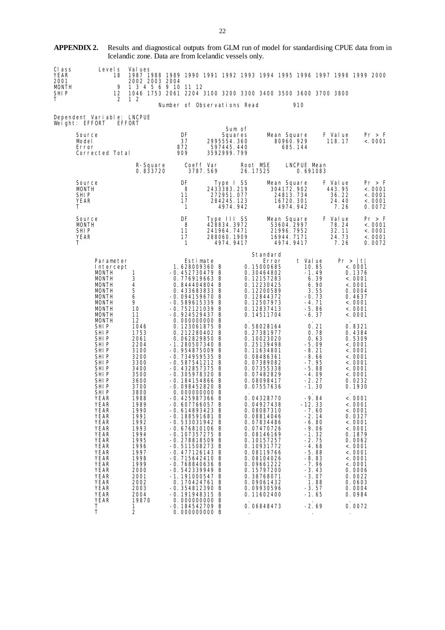**APPENDIX 2.** Results and diagnostical outputs from GLM run of model for standardising CPUE data from in Icelandic zone. Data are from Icelandic vessels only.

| CI ass | Level s | – Val ues                                                                   |  |  |  |  |  |  |
|--------|---------|-----------------------------------------------------------------------------|--|--|--|--|--|--|
| YEAR   |         | 1987 1988 1989 1990 1991 1992 1993 1994 1995 1996 1997 1998 1999 2000       |  |  |  |  |  |  |
| 2001   |         | 2002 2003 2004                                                              |  |  |  |  |  |  |
| MONTH  |         | 9 1 3 4 5 6 9 10 11 12                                                      |  |  |  |  |  |  |
| SHI P  |         | 12   1046  1753  2061  2204  3100  3200  3300  3400  3500  3600  3700  3800 |  |  |  |  |  |  |
| T.     |         | 212                                                                         |  |  |  |  |  |  |

Number of Observations Read 910

Dependent Variable: LNCPUE Weight: EFFORT EFFORT

| Source<br>Model<br>Error<br>Corrected Total                                                                                                                                                                                                                                                                                                                                                                                                                                                                                   |                                                                                                                                                                                                                                                                                                         | DF<br>37<br>872<br>909                                                                                                                                                                                                                                                                                                                                                                                                                                                                                                                                                                                                                                                                                                                                                                                           | 2995554.360<br>597445.440<br>3592999.799                              | Sum of<br>Squares |                                                                                                                                                                                                                                                                                                                                                                                                                                                                                                                                                                       | Mean Square<br>80960.929<br>685.144                                                                                                                                                                                                                                                                                                                     |                                                      | F Value<br>118.17                           | Pr > F<br>< .0001                                                                                                                                                                                                                                                                                                                                                                                             |
|-------------------------------------------------------------------------------------------------------------------------------------------------------------------------------------------------------------------------------------------------------------------------------------------------------------------------------------------------------------------------------------------------------------------------------------------------------------------------------------------------------------------------------|---------------------------------------------------------------------------------------------------------------------------------------------------------------------------------------------------------------------------------------------------------------------------------------------------------|------------------------------------------------------------------------------------------------------------------------------------------------------------------------------------------------------------------------------------------------------------------------------------------------------------------------------------------------------------------------------------------------------------------------------------------------------------------------------------------------------------------------------------------------------------------------------------------------------------------------------------------------------------------------------------------------------------------------------------------------------------------------------------------------------------------|-----------------------------------------------------------------------|-------------------|-----------------------------------------------------------------------------------------------------------------------------------------------------------------------------------------------------------------------------------------------------------------------------------------------------------------------------------------------------------------------------------------------------------------------------------------------------------------------------------------------------------------------------------------------------------------------|---------------------------------------------------------------------------------------------------------------------------------------------------------------------------------------------------------------------------------------------------------------------------------------------------------------------------------------------------------|------------------------------------------------------|---------------------------------------------|---------------------------------------------------------------------------------------------------------------------------------------------------------------------------------------------------------------------------------------------------------------------------------------------------------------------------------------------------------------------------------------------------------------|
|                                                                                                                                                                                                                                                                                                                                                                                                                                                                                                                               | R-Square<br>0.833720                                                                                                                                                                                                                                                                                    | Coeff Var<br>3787.569                                                                                                                                                                                                                                                                                                                                                                                                                                                                                                                                                                                                                                                                                                                                                                                            |                                                                       |                   | Root MSE<br>26.17525                                                                                                                                                                                                                                                                                                                                                                                                                                                                                                                                                  | LNCPUE Mean<br>0.691083                                                                                                                                                                                                                                                                                                                                 |                                                      |                                             |                                                                                                                                                                                                                                                                                                                                                                                                               |
| Source<br><b>MONTH</b><br>SHI <sub>P</sub><br>YEAR<br>Τ                                                                                                                                                                                                                                                                                                                                                                                                                                                                       |                                                                                                                                                                                                                                                                                                         | DF<br>8<br>11<br>17<br>$\mathbf{1}$                                                                                                                                                                                                                                                                                                                                                                                                                                                                                                                                                                                                                                                                                                                                                                              | Type I SS<br>2433383.219<br>272951.077<br>284245.123                  | 4974.942          |                                                                                                                                                                                                                                                                                                                                                                                                                                                                                                                                                                       | Mean Square<br>304172.902<br>24813.734<br>16720.301<br>4974.942                                                                                                                                                                                                                                                                                         |                                                      | F Value<br>443.95<br>36.22<br>24.40<br>7.26 | Pr > F<br>< .0001<br>< .0001<br>< .0001<br>0.0072                                                                                                                                                                                                                                                                                                                                                             |
| Source<br>MONTH<br>SHI P<br>YEAR<br>т                                                                                                                                                                                                                                                                                                                                                                                                                                                                                         |                                                                                                                                                                                                                                                                                                         | DF<br>8<br>11<br>17<br>$\mathbf{1}$                                                                                                                                                                                                                                                                                                                                                                                                                                                                                                                                                                                                                                                                                                                                                                              | Type III SS<br>428834.3972<br>241964.7471<br>288060.1909<br>4974.9417 |                   |                                                                                                                                                                                                                                                                                                                                                                                                                                                                                                                                                                       | Mean Square<br>53604.2997<br>21996.7952<br>16944. 7171<br>4974.9417                                                                                                                                                                                                                                                                                     |                                                      | F Value<br>78.24<br>32.11<br>24.73<br>7.26  | Pr > F<br>< .0001<br>< .0001<br>< .0001<br>0.0072                                                                                                                                                                                                                                                                                                                                                             |
| Parameter<br>Intercept<br><b>MONTH</b><br><b>MONTH</b><br>MONTH<br><b>MONTH</b><br><b>MONTH</b><br><b>MONTH</b><br><b>MONTH</b><br><b>MONTH</b><br><b>MONTH</b><br>SHI P<br>SHIP<br>SHI P<br>SHI P<br>SHI P<br><b>SHIP</b><br><b>SHIP</b><br>SHI P<br>SHI P<br>SHI P<br>SHI P<br>SHI P<br>YEAR<br>YEAR<br><b>YEAR</b><br><b>YEAR</b><br><b>YEAR</b><br><b>YEAR</b><br><b>YEAR</b><br><b>YEAR</b><br>YEAR<br><b>YEAR</b><br>YEAR<br><b>YEAR</b><br><b>YEAR</b><br>YEAR<br>YEAR<br>YEAR<br><b>YEAR</b><br><b>YEAR</b><br>Τ<br>T | 1<br>3<br>4<br>5<br>6<br>9<br>10<br>11<br>12<br>1046<br>1753<br>2061<br>2204<br>3100<br>3200<br>3300<br>3400<br>3500<br>3600<br>3700<br>3800<br>1988<br>1989<br>1990<br>1991<br>1992<br>1993<br>1994<br>1995<br>1996<br>1997<br>1998<br>1999<br>2000<br>2001<br>2002<br>2003<br>2004<br>19870<br>1<br>2 | Estimate<br>1.628009360 B<br>$-0.452730479$ B<br>0.776919663 B<br>0.844404804 B<br>0.433683833 B<br>$-0.094159670 B$<br>$-0.589615339 B$<br>$-0.752121039$ B<br>$-0.924529437 B$<br>0.000000000 B<br>0.123061875 B<br>0.212280402 B<br>0.062829850 B<br>-1.280507340 B<br>$-0.954875009$ B<br>-0.734959535 B<br>$-0.587541212 B$<br>$-0.432857375 B$<br>-0.305978320 B<br>-0.184154866 B<br>-0.098452820 B<br>0.000000000 B<br>-0.425987366 B<br>-0.607766057 B<br>-0.614893423 B<br>$-0.188591681$ B<br>$-0.533031942 B$<br>$-0.676810106$ B<br>$-0.107357275$ B<br>-0.278818509 B<br>-0.511508273 B<br>$-0.477126143$ B<br>$-0.715642410$ B<br>-0.768840636 B<br>$-0.542339949$ B<br>-1.191000547 B<br>0.170424761 B<br>-0.354812390 B<br>-0.191948315 B<br>0.000000000 B<br>$-0.184542709$ B<br>0.000000000 B |                                                                       |                   | Standard<br>Error<br>0.15000685<br>0.30464802<br>0.12157283<br>0.12230425<br>0.12200589<br>0.12844372<br>0.12507973<br>0.12837413<br>0.14511704<br>0.58028164<br>0.27381977<br>0.10023020<br>0.25139498<br>0.11634801<br>0.08486361<br>0.07389082<br>0.07355338<br>0.07482829<br>0.08098417<br>0.07557636<br>0.04328770<br>0.04927438<br>0.08087310<br>0.08814046<br>0.07834486<br>0.07470726<br>0.08146169<br>0.10157257<br>0.10931772<br>0.08119766<br>0.08104026<br>0.09661222<br>0.15797200<br>0.38768071<br>0.09061432<br>0.09930596<br>0.11602400<br>0.06848473 | t Value<br>10.85<br>$-1.49$<br>$-0.73$<br>$-4.71$<br>$-5.86$<br>$-6.37$<br>$-5.09$<br>$-8.21$<br>-8.66<br>$-7.95$<br>$-5.88$<br>$-4.09$<br>$-2.27$<br>$-1.30$<br>$-9.84$<br>$-12.33$<br>$-7.60$<br>$-2.14$<br>$-6.80$<br>$-9.06$<br>$-1.32$<br>$-2.75$<br>$-4.68$<br>$-5.88$<br>$-8.83$<br>$-7.96$<br>$-3.43$<br>$-3.07$<br>$-3.57$<br>-1.65<br>$-2.69$ | 6.39<br>6.90<br>3.55<br>0.21<br>0.78<br>0.63<br>1.88 | Pr >  t                                     | < .0001<br>0.1376<br>< .0001<br>< .0001<br>0.0004<br>0.4637<br>< .0001<br>< .0001<br>< .0001<br>0.8321<br>0.4384<br>0.5309<br>< .0001<br>< .0001<br>< .0001<br>< .0001<br>< .0001<br>< .0001<br>0.0232<br>0.1930<br>< .0001<br>< .0001<br>< .0001<br>0.0327<br>< .0001<br>< .0001<br>0.1879<br>0.0062<br>< .0001<br>< .0001<br>< .0001<br>< .0001<br>0.0006<br>0.0022<br>0.0603<br>0.0004<br>0.0984<br>0.0072 |